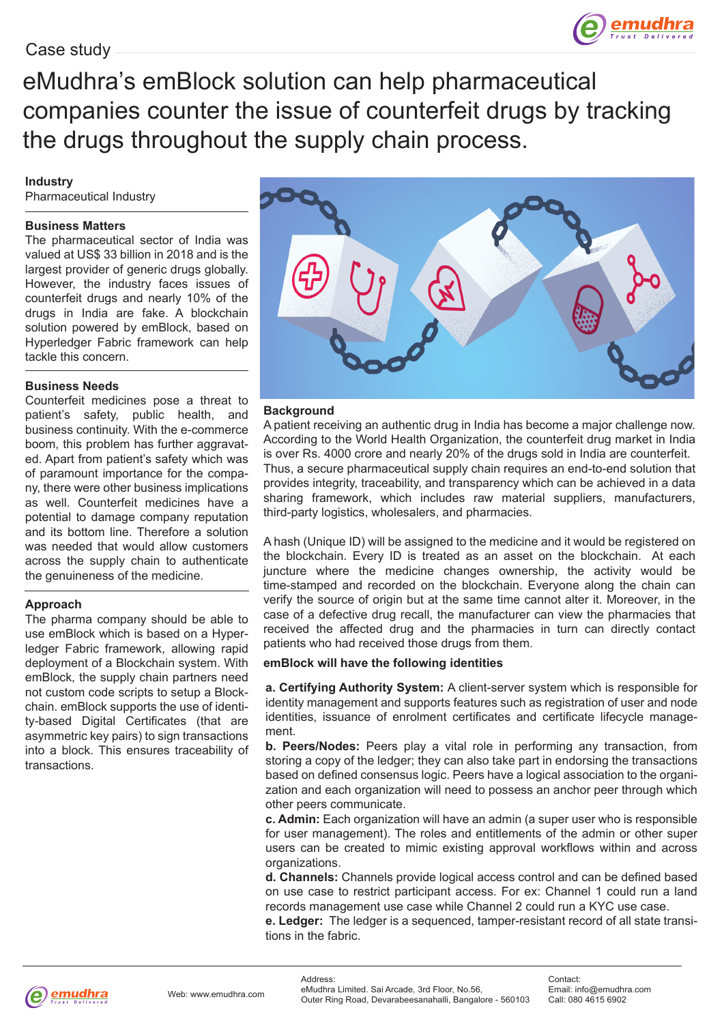

eMudhra's emBlock solution can help pharmaceutical companies counter the issue of counterfeit drugs by tracking the drugs throughout the supply chain process.

## **Industry**

Pharmaceutical Industry

## **Business Matters**

The pharmaceutical sector of India was valued at US\$ 33 billion in 2018 and is the largest provider of generic drugs globally. However, the industry faces issues of counterfeit drugs and nearly 10% of the drugs in India are fake. A blockchain solution powered by emBlock, based on Hyperledger Fabric framework can help tackle this concern.

# **Business Needs**

Counterfeit medicines pose a threat to patient's safety, public health, and business continuity. With the e-commerce boom, this problem has further aggravated. Apart from patient's safety which was of paramount importance for the company, there were other business implications as well. Counterfeit medicines have a potential to damage company reputation and its bottom line. Therefore a solution was needed that would allow customers across the supply chain to authenticate the genuineness of the medicine.

# **Approach**

The pharma company should be able to use emBlock which is based on a Hyperledger Fabric framework, allowing rapid deployment of a Blockchain system. With emBlock, the supply chain partners need not custom code scripts to setup a Blockchain. emBlock supports the use of identity-based Digital Certificates (that are asymmetric key pairs) to sign transactions into a block. This ensures traceability of transactions.



#### **Background**

A patient receiving an authentic drug in India has become a major challenge now. According to the World Health Organization, the counterfeit drug market in India is over Rs. 4000 crore and nearly 20% of the drugs sold in India are counterfeit. Thus, a secure pharmaceutical supply chain requires an end-to-end solution that provides integrity, traceability, and transparency which can be achieved in a data sharing framework, which includes raw material suppliers, manufacturers, third-party logistics, wholesalers, and pharmacies.

A hash (Unique ID) will be assigned to the medicine and it would be registered on the blockchain. Every ID is treated as an asset on the blockchain. At each juncture where the medicine changes ownership, the activity would be time-stamped and recorded on the blockchain. Everyone along the chain can verify the source of origin but at the same time cannot alter it. Moreover, in the case of a defective drug recall, the manufacturer can view the pharmacies that received the affected drug and the pharmacies in turn can directly contact patients who had received those drugs from them.

#### **emBlock will have the following identities**

**a. Certifying Authority System:** A client-server system which is responsible for identity management and supports features such as registration of user and node identities, issuance of enrolment certificates and certificate lifecycle management.

**b. Peers/Nodes:** Peers play a vital role in performing any transaction, from storing a copy of the ledger; they can also take part in endorsing the transactions based on defined consensus logic. Peers have a logical association to the organization and each organization will need to possess an anchor peer through which other peers communicate.

**c. Admin:** Each organization will have an admin (a super user who is responsible for user management). The roles and entitlements of the admin or other super users can be created to mimic existing approval workflows within and across organizations.

**d. Channels:** Channels provide logical access control and can be defined based on use case to restrict participant access. For ex: Channel 1 could run a land records management use case while Channel 2 could run a KYC use case.

**e. Ledger:** The ledger is a sequenced, tamper-resistant record of all state transitions in the fabric.



Address: eMudhra Limited. Sai Arcade, 3rd Floor, No.56, Outer Ring Road, Devarabeesanahalli, Bangalore - 560103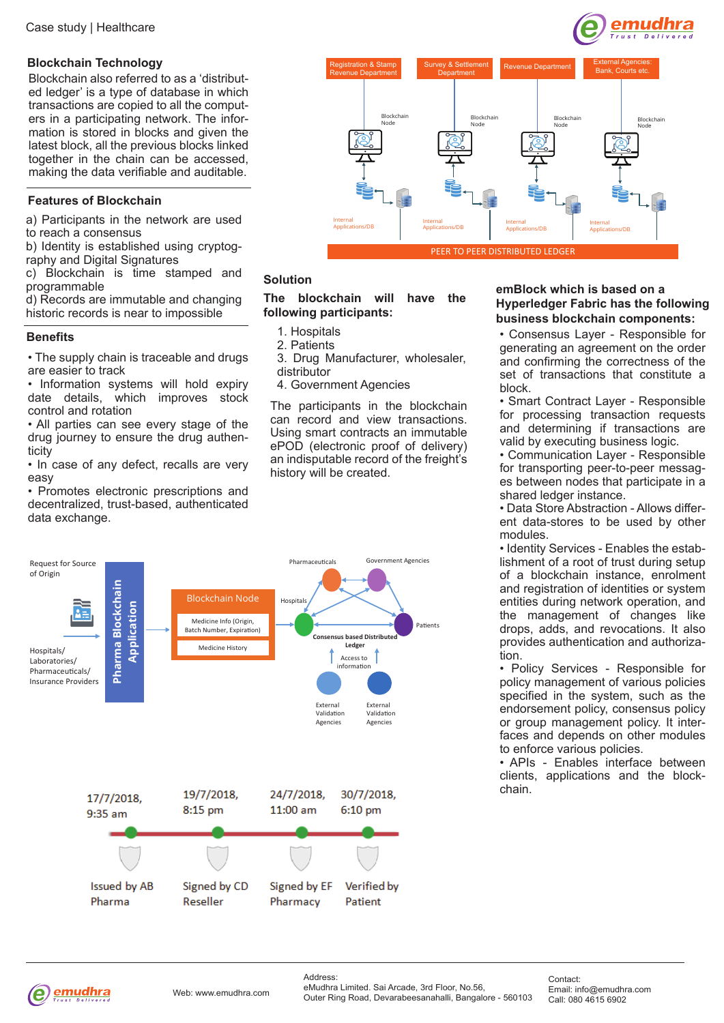# **Blockchain Technology**

Blockchain also referred to as a 'distributed ledger' is a type of database in which transactions are copied to all the computers in a participating network. The information is stored in blocks and given the latest block, all the previous blocks linked together in the chain can be accessed, making the data verifiable and auditable.

# **Features of Blockchain**

a) Participants in the network are used to reach a consensus

b) Identity is established using cryptography and Digital Signatures

c) Blockchain is time stamped and programmable

d) Records are immutable and changing historic records is near to impossible

# **Benefits**

• The supply chain is traceable and drugs are easier to track

• Information systems will hold expiry date details, which improves stock control and rotation

• All parties can see every stage of the drug journey to ensure the drug authenticity

• In case of any defect, recalls are very easy

• Promotes electronic prescriptions and decentralized, trust-based, authenticated data exchange.



# **Solution**

# **The blockchain will have the following participants:**

- 1. Hospitals
- 2. Patients
- 3. Drug Manufacturer, wholesaler, distributor
- 4. Government Agencies

The participants in the blockchain can record and view transactions. Using smart contracts an immutable ePOD (electronic proof of delivery) an indisputable record of the freight's history will be created.



# **emBlock which is based on a Hyperledger Fabric has the following business blockchain components:**

emudhra

• Consensus Layer - Responsible for generating an agreement on the order and confirming the correctness of the set of transactions that constitute a block.

• Smart Contract Layer - Responsible for processing transaction requests and determining if transactions are valid by executing business logic.

• Communication Layer - Responsible for transporting peer-to-peer messages between nodes that participate in a shared ledger instance.

• Data Store Abstraction - Allows different data-stores to be used by other modules.

• Identity Services - Enables the establishment of a root of trust during setup of a blockchain instance, enrolment and registration of identities or system entities during network operation, and the management of changes like drops, adds, and revocations. It also provides authentication and authorization.

• Policy Services - Responsible for policy management of various policies specified in the system, such as the endorsement policy, consensus policy or group management policy. It interfaces and depends on other modules to enforce various policies.

• APIs - Enables interface between clients, applications and the blockchain.



Address: eMudhra Limited. Sai Arcade, 3rd Floor, No.56, Outer Ring Road, Devarabeesanahalli, Bangalore - 560103